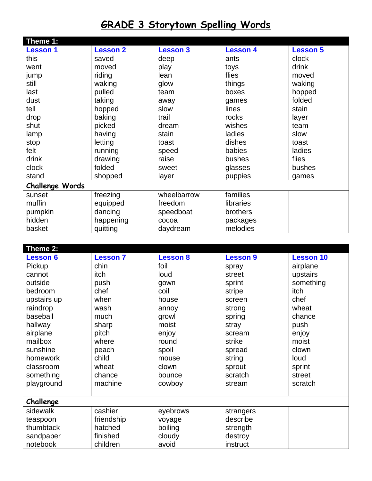## **GRADE 3 Storytown Spelling Words**

| Theme 1:               |                 |                 |                 |                 |  |
|------------------------|-----------------|-----------------|-----------------|-----------------|--|
| <b>Lesson 1</b>        | <b>Lesson 2</b> | <b>Lesson 3</b> | <b>Lesson 4</b> | <b>Lesson 5</b> |  |
| this                   | saved           | deep            | ants            | clock           |  |
| went                   | moved           | play            | toys            | drink           |  |
| jump                   | riding          | lean            | flies           | moved           |  |
| still                  | waking          | glow            | things          | waking          |  |
| last                   | pulled          | team            | boxes           | hopped          |  |
| dust                   | taking          | away            | games           | folded          |  |
| tell                   | hopped          | slow            | lines           | stain           |  |
| drop                   | baking          | trail           | rocks           | layer           |  |
| shut                   | picked          | dream           | wishes          | team            |  |
| lamp                   | having          | stain           | ladies          | slow            |  |
| stop                   | letting         | toast           | dishes          | toast           |  |
| felt                   | running         | speed           | babies          | ladies          |  |
| drink                  | drawing         | raise           | bushes          | flies           |  |
| clock                  | folded          | sweet           | glasses         | bushes          |  |
| stand                  | shopped         | layer           | puppies         | games           |  |
| <b>Challenge Words</b> |                 |                 |                 |                 |  |
| sunset                 | freezing        | wheelbarrow     | families        |                 |  |
| muffin                 | equipped        | freedom         | libraries       |                 |  |
| pumpkin                | dancing         | speedboat       | brothers        |                 |  |
| hidden                 | happening       | cocoa           | packages        |                 |  |
| basket                 | quitting        | daydream        | melodies        |                 |  |

| Theme 2:        |                 |                 |                 |                  |  |
|-----------------|-----------------|-----------------|-----------------|------------------|--|
| <b>Lesson 6</b> | <b>Lesson 7</b> | <b>Lesson 8</b> | <b>Lesson 9</b> | <b>Lesson 10</b> |  |
| Pickup          | chin            | foil            | spray           | airplane         |  |
| cannot          | itch            | loud            | street          | upstairs         |  |
| outside         | push            | gown            | sprint          | something        |  |
| bedroom         | chef            | coil            | stripe          | <i>itch</i>      |  |
| upstairs up     | when            | house           | screen          | chef             |  |
| raindrop        | wash            | annoy           | strong          | wheat            |  |
| baseball        | much            | growl           | spring          | chance           |  |
| hallway         | sharp           | moist           | stray           | push             |  |
| airplane        | pitch           | enjoy           | scream          | enjoy            |  |
| mailbox         | where           | round           | strike          | moist            |  |
| sunshine        | peach           | spoil           | spread          | clown            |  |
| homework        | child           | mouse           | string          | loud             |  |
| classroom       | wheat           | clown           | sprout          | sprint           |  |
| something       | chance          | bounce          | scratch         | street           |  |
| playground      | machine         | cowboy          | stream          | scratch          |  |
|                 |                 |                 |                 |                  |  |
| Challenge       |                 |                 |                 |                  |  |
| sidewalk        | cashier         | eyebrows        | strangers       |                  |  |
| teaspoon        | friendship      | voyage          | describe        |                  |  |
| thumbtack       | hatched         | boiling         | strength        |                  |  |
| sandpaper       | finished        | cloudy          | destroy         |                  |  |
| notebook        | children        | avoid           | instruct        |                  |  |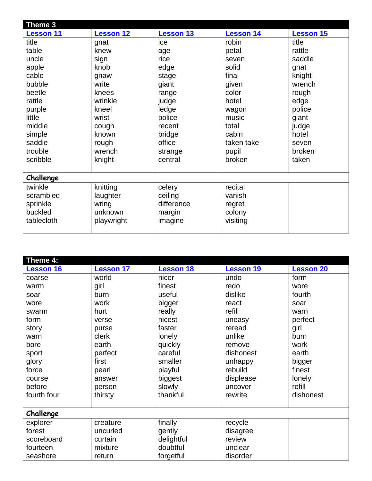| Theme 3          |                  |                  |                  |                  |  |
|------------------|------------------|------------------|------------------|------------------|--|
| <b>Lesson 11</b> | <b>Lesson 12</b> | <b>Lesson 13</b> | <b>Lesson 14</b> | <b>Lesson 15</b> |  |
| title            | gnat             | ice              | robin            | title            |  |
| table            | knew             | age              | petal            | rattle           |  |
| uncle            | sign             | rice             | seven            | saddle           |  |
| apple            | knob             | edge             | solid            | gnat             |  |
| cable            | gnaw             | stage            | final            | knight           |  |
| bubble           | write            | giant            | given            | wrench           |  |
| beetle           | knees            | range            | color            | rough            |  |
| rattle           | wrinkle          | judge            | hotel            | edge             |  |
| purple           | kneel            | ledge            | wagon            | police           |  |
| little           | wrist            | police           | music            | giant            |  |
| middle           | cough            | recent           | total            | judge            |  |
| simple           | known            | bridge           | cabin            | hotel            |  |
| saddle           | rough            | office           | taken take       | seven            |  |
| trouble          | wrench           | strange          | pupil            | broken           |  |
| scribble         | knight           | central          | broken           | taken            |  |
|                  |                  |                  |                  |                  |  |
| Challenge        |                  |                  |                  |                  |  |
| twinkle          | knitting         | celery           | recital          |                  |  |
| scrambled        | laughter         | ceiling          | vanish           |                  |  |
| sprinkle         | wring            | difference       | regret           |                  |  |
| buckled          | unknown          | margin           | colony           |                  |  |
| tablecloth       | playwright       | imagine          | visiting         |                  |  |
|                  |                  |                  |                  |                  |  |

| Theme 4:         |                  |                  |                  |                  |  |
|------------------|------------------|------------------|------------------|------------------|--|
| <b>Lesson 16</b> | <b>Lesson 17</b> | <b>Lesson 18</b> | <b>Lesson 19</b> | <b>Lesson 20</b> |  |
| coarse           | world            | nicer            | undo             | form             |  |
| warm             | girl             | finest           | redo             | wore             |  |
| soar             | burn             | useful           | dislike          | fourth           |  |
| wore             | work             | bigger           | react            | soar             |  |
| swarm            | hurt             | really           | refill           | warn             |  |
| form             | verse            | nicest           | uneasy           | perfect          |  |
| story            | purse            | faster           | reread           | girl             |  |
| warn             | clerk            | lonely           | unlike           | burn             |  |
| bore             | earth            | quickly          | remove           | work             |  |
| sport            | perfect          | careful          | dishonest        | earth            |  |
| glory            | first            | smaller          | unhappy          | bigger           |  |
| force            | pearl            | playful          | rebuild          | finest           |  |
| course           | answer           | biggest          | displease        | lonely           |  |
| before           | person           | slowly           | uncover          | refill           |  |
| fourth four      | thirsty          | thankful         | rewrite          | dishonest        |  |
|                  |                  |                  |                  |                  |  |
| Challenge        |                  |                  |                  |                  |  |
| explorer         | creature         | finally          | recycle          |                  |  |
| forest           | uncurled         | gently           | disagree         |                  |  |
| scoreboard       | curtain          | delightful       | review           |                  |  |
| fourteen         | mixture          | doubtful         | unclear          |                  |  |
| seashore         | return           | forgetful        | disorder         |                  |  |